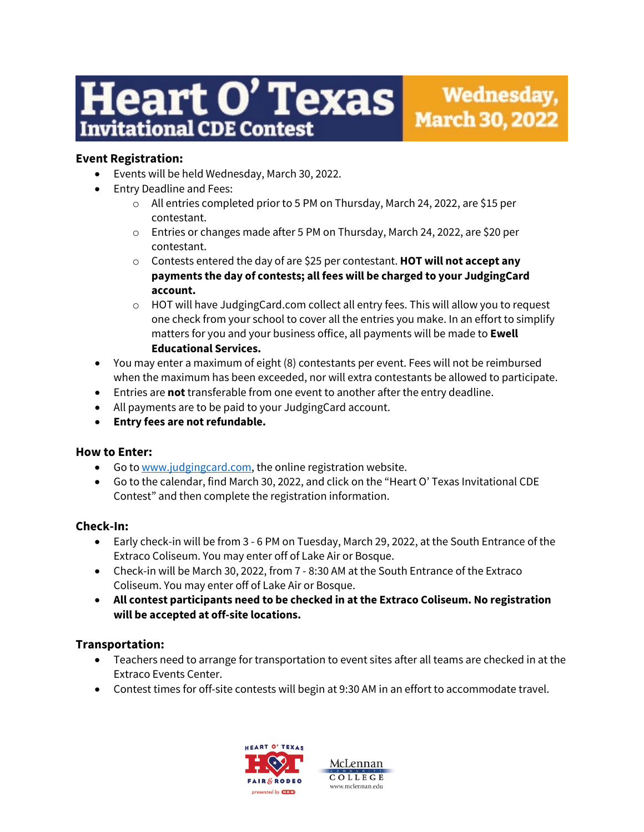# eart O' Texas **Invitational CDE Contest**

# **Event Registration:**

- Events will be held Wednesday, March 30, 2022.
- Entry Deadline and Fees:
	- o All entries completed prior to 5 PM on Thursday, March 24, 2022, are \$15 per contestant.
	- o Entries or changes made after 5 PM on Thursday, March 24, 2022, are \$20 per contestant.
	- o Contests entered the day of are \$25 per contestant. **HOT will not accept any payments the day of contests; all fees will be charged to your JudgingCard account.**
	- $\circ$  HOT will have JudgingCard.com collect all entry fees. This will allow you to request one check from your school to cover all the entries you make. In an effort to simplify matters for you and your business office, all payments will be made to **Ewell Educational Services.**
- You may enter a maximum of eight (8) contestants per event. Fees will not be reimbursed when the maximum has been exceeded, nor will extra contestants be allowed to participate.
- Entries are **not** transferable from one event to another after the entry deadline.
- All payments are to be paid to your JudgingCard account.
- **Entry fees are not refundable.**

# **How to Enter:**

- Go to [www.judgingcard.com,](http://www.judgingcard.com/) the online registration website.
- Go to the calendar, find March 30, 2022, and click on the "Heart O' Texas Invitational CDE Contest" and then complete the registration information.

# **Check-In:**

- Early check-in will be from 3 6 PM on Tuesday, March 29, 2022, at the South Entrance of the Extraco Coliseum. You may enter off of Lake Air or Bosque.
- Check-in will be March 30, 2022, from 7 8:30 AM at the South Entrance of the Extraco Coliseum. You may enter off of Lake Air or Bosque.
- **All contest participants need to be checked in at the Extraco Coliseum. No registration will be accepted at off-site locations.**

# **Transportation:**

- Teachers need to arrange for transportation to event sites after all teams are checked in at the Extraco Events Center.
- Contest times for off-site contests will begin at 9:30 AM in an effort to accommodate travel.

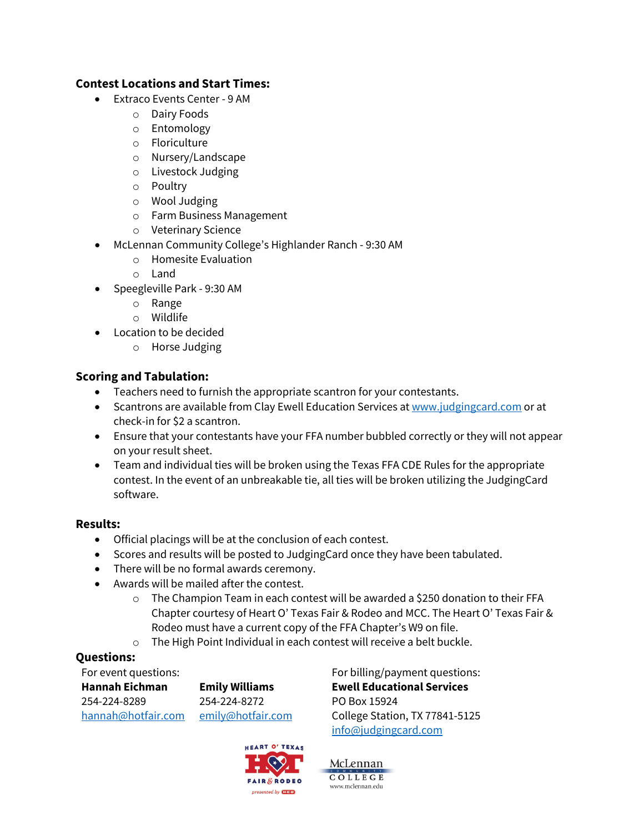# **Contest Locations and Start Times:**

- Extraco Events Center 9 AM
	- o Dairy Foods
	- o Entomology
	- o Floriculture
	- o Nursery/Landscape
	- o Livestock Judging
	- o Poultry
	- o Wool Judging
	- o Farm Business Management
	- o Veterinary Science
- McLennan Community College's Highlander Ranch 9:30 AM
	- o Homesite Evaluation
	- o Land
- Speegleville Park 9:30 AM
	- o Range
	- o Wildlife
- Location to be decided
	- o Horse Judging

# **Scoring and Tabulation:**

- Teachers need to furnish the appropriate scantron for your contestants.
- Scantrons are available from Clay Ewell Education Services a[t www.judgingcard.com](http://www.judgingcard.com/) or at check-in for \$2 a scantron.
- Ensure that your contestants have your FFA number bubbled correctly or they will not appear on your result sheet.
- Team and individual ties will be broken using the Texas FFA CDE Rules for the appropriate contest. In the event of an unbreakable tie, all ties will be broken utilizing the JudgingCard software.

#### **Results:**

- Official placings will be at the conclusion of each contest.
- Scores and results will be posted to JudgingCard once they have been tabulated.
- There will be no formal awards ceremony.
- Awards will be mailed after the contest.
	- $\circ$  The Champion Team in each contest will be awarded a \$250 donation to their FFA Chapter courtesy of Heart O' Texas Fair & Rodeo and MCC. The Heart O' Texas Fair & Rodeo must have a current copy of the FFA Chapter's W9 on file.
	- o The High Point Individual in each contest will receive a belt buckle.

# **Questions:**

For event questions: **Hannah Eichman** 254-224-8289 [hannah@hotfair.com](mailto:hannah@hotfair.com) [emily@hotfair.com](mailto:emily@hotfair.com)

**Emily Williams** 254-224-8272



For billing/payment questions: **Ewell Educational Services** PO Box 15924 College Station, TX 77841-5125 [info@judgingcard.com](mailto:info@judgingcard.com)

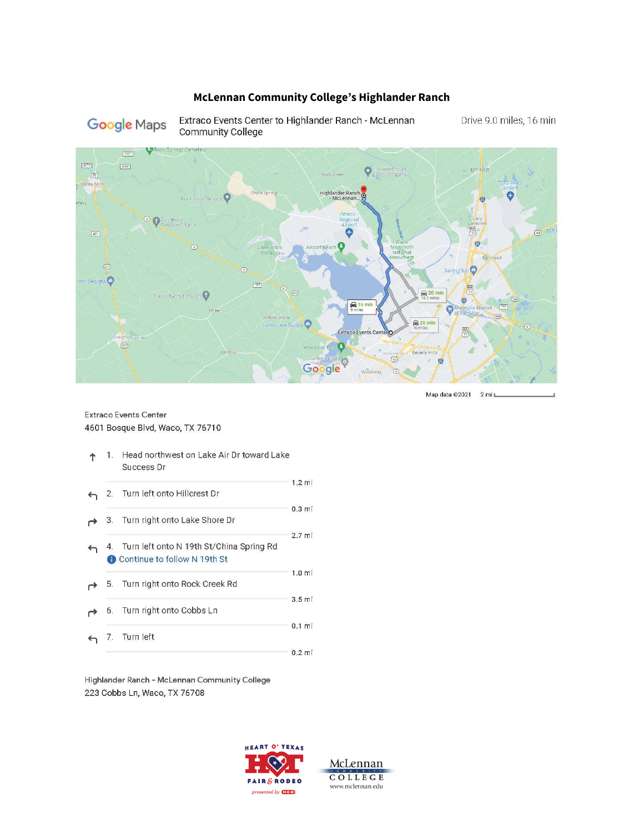#### McLennan Community College's Highlander Ranch

# Google Maps

Extraco Events Center to Highlander Ranch - McLennan Community College

Drive 9.0 miles, 16 min



Map data ©2021 2 mill\_

#### Extraco Events Center 4601 Bosque Blvd, Waco, TX 76710

|              | 1. | Head northwest on Lake Air Dr toward Lake<br>Success Dr                     |                  |
|--------------|----|-----------------------------------------------------------------------------|------------------|
|              | 2. | Turn left onto Hillcrest Dr                                                 | $1.2$ mi         |
|              |    | 3. Turn right onto Lake Shore Dr                                            | 0.3 <sub>m</sub> |
| $\leftarrow$ |    | 4. Turn left onto N 19th St/China Spring Rd<br>Continue to follow N 19th St | 2.7 <sub>m</sub> |
|              |    | 5. Turn right onto Rock Creek Rd                                            | 1.0 <sub>m</sub> |
|              | 6. | Turn right onto Cobbs Ln                                                    | 3.5 <sub>m</sub> |
|              |    | Turn left                                                                   | 0.1 <sub>m</sub> |
|              |    |                                                                             | $0.2$ mi         |

Highlander Ranch - McLennan Community College 223 Cobbs Ln, Waco, TX 76708